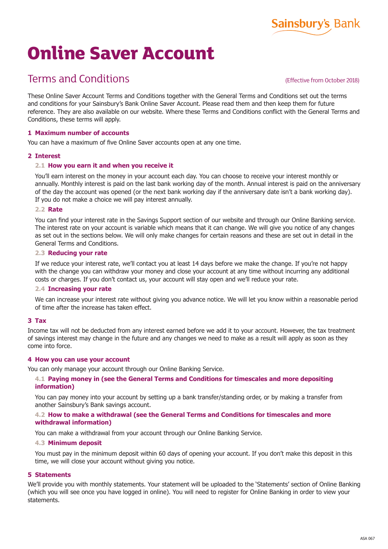#### ASA 067

# **Online Saver Account**

# Terms and Conditions

(Effective from October 2018)

These Online Saver Account Terms and Conditions together with the General Terms and Conditions set out the terms and conditions for your Sainsbury's Bank Online Saver Account. Please read them and then keep them for future reference. They are also available on our website. Where these Terms and Conditions conflict with the General Terms and Conditions, these terms will apply.

# **1 Maximum number of accounts**

You can have a maximum of five Online Saver accounts open at any one time.

## **2 Interest**

## **2.1 How you earn it and when you receive it**

You'll earn interest on the money in your account each day. You can choose to receive your interest monthly or annually. Monthly interest is paid on the last bank working day of the month. Annual interest is paid on the anniversary of the day the account was opened (or the next bank working day if the anniversary date isn't a bank working day). If you do not make a choice we will pay interest annually.

#### **2.2 Rate**

You can find your interest rate in the Savings Support section of our website and through our Online Banking service. The interest rate on your account is variable which means that it can change. We will give you notice of any changes as set out in the sections below. We will only make changes for certain reasons and these are set out in detail in the General Terms and Conditions.

#### **2.3 Reducing your rate**

If we reduce your interest rate, we'll contact you at least 14 days before we make the change. If you're not happy with the change you can withdraw your money and close your account at any time without incurring any additional costs or charges. If you don't contact us, your account will stay open and we'll reduce your rate.

#### **2.4 Increasing your rate**

We can increase your interest rate without giving you advance notice. We will let you know within a reasonable period of time after the increase has taken effect.

#### **3 Tax**

Income tax will not be deducted from any interest earned before we add it to your account. However, the tax treatment of savings interest may change in the future and any changes we need to make as a result will apply as soon as they come into force.

#### **4 How you can use your account**

You can only manage your account through our Online Banking Service.

#### **4.1 Paying money in (see the General Terms and Conditions for timescales and more depositing information)**

You can pay money into your account by setting up a bank transfer/standing order, or by making a transfer from another Sainsbury's Bank savings account.

#### **4.2 How to make a withdrawal (see the General Terms and Conditions for timescales and more withdrawal information)**

You can make a withdrawal from your account through our Online Banking Service.

#### **4.3 Minimum deposit**

You must pay in the minimum deposit within 60 days of opening your account. If you don't make this deposit in this time, we will close your account without giving you notice.

#### **5 Statements**

We'll provide you with monthly statements. Your statement will be uploaded to the 'Statements' section of Online Banking (which you will see once you have logged in online). You will need to register for Online Banking in order to view your statements.